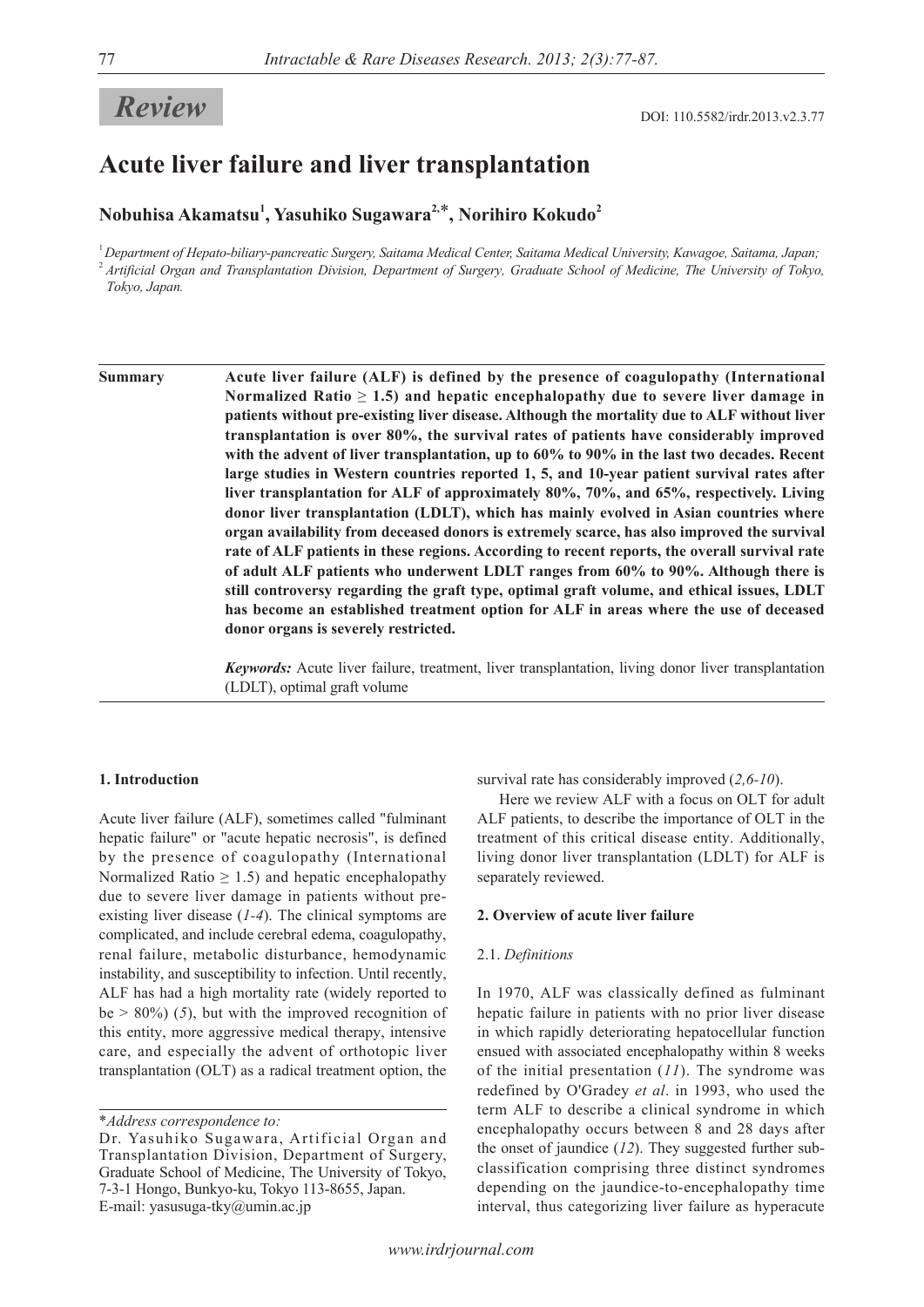# **Review** DOI: 110.5582/irdr.2013.v2.3.77

## **Acute liver failure and liver transplantation**

### **Nobuhisa Akamatsu<sup>1</sup> , Yasuhiko Sugawara2,**\***, Norihiro Kokudo<sup>2</sup>**

<sup>1</sup>*Department of Hepato-biliary-pancreatic Surgery, Saitama Medical Center, Saitama Medical University, Kawagoe, Saitama, Japan;* <sup>2</sup>*Artificial Organ and Transplantation Division, Department of Surgery, Graduate School of Medicine, The University of Tokyo, Tokyo, Japan.*

**Summary Acute liver failure (ALF) is defined by the presence of coagulopathy (International Normalized Ratio**  $\geq 1.5$ **) and hepatic encephalopathy due to severe liver damage in patients without pre-existing liver disease. Although the mortality due to ALF without liver transplantation is over 80%, the survival rates of patients have considerably improved with the advent of liver transplantation, up to 60% to 90% in the last two decades. Recent large studies in Western countries reported 1, 5, and 10-year patient survival rates after liver transplantation for ALF of approximately 80%, 70%, and 65%, respectively. Living donor liver transplantation (LDLT), which has mainly evolved in Asian countries where organ availability from deceased donors is extremely scarce, has also improved the survival rate of ALF patients in these regions. According to recent reports, the overall survival rate of adult ALF patients who underwent LDLT ranges from 60% to 90%. Although there is still controversy regarding the graft type, optimal graft volume, and ethical issues, LDLT has become an established treatment option for ALF in areas where the use of deceased donor organs is severely restricted.**

> *Keywords:* Acute liver failure, treatment, liver transplantation, living donor liver transplantation (LDLT), optimal graft volume

#### **1. Introduction**

Acute liver failure (ALF), sometimes called "fulminant hepatic failure" or "acute hepatic necrosis", is defined by the presence of coagulopathy (International Normalized Ratio  $\geq 1.5$ ) and hepatic encephalopathy due to severe liver damage in patients without preexisting liver disease (*1-4*). The clinical symptoms are complicated, and include cerebral edema, coagulopathy, renal failure, metabolic disturbance, hemodynamic instability, and susceptibility to infection. Until recently, ALF has had a high mortality rate (widely reported to  $be > 80\%$  (5), but with the improved recognition of this entity, more aggressive medical therapy, intensive care, and especially the advent of orthotopic liver transplantation (OLT) as a radical treatment option, the

\**Address correspondence to:*

survival rate has considerably improved (*2,6-10*).

Here we review ALF with a focus on OLT for adult ALF patients, to describe the importance of OLT in the treatment of this critical disease entity. Additionally, living donor liver transplantation (LDLT) for ALF is separately reviewed.

#### **2. Overview of acute liver failure**

#### 2.1. *Definitions*

In 1970, ALF was classically defined as fulminant hepatic failure in patients with no prior liver disease in which rapidly deteriorating hepatocellular function ensued with associated encephalopathy within 8 weeks of the initial presentation (*11*). The syndrome was redefined by O'Gradey *et al*. in 1993, who used the term ALF to describe a clinical syndrome in which encephalopathy occurs between 8 and 28 days after the onset of jaundice (*12*). They suggested further subclassification comprising three distinct syndromes depending on the jaundice-to-encephalopathy time interval, thus categorizing liver failure as hyperacute

Dr. Yasuhiko Sugawara, Artificial Organ and Transplantation Division, Department of Surgery, Graduate School of Medicine, The University of Tokyo, 7-3-1 Hongo, Bunkyo-ku, Tokyo 113-8655, Japan. E-mail: yasusuga-tky@umin.ac.jp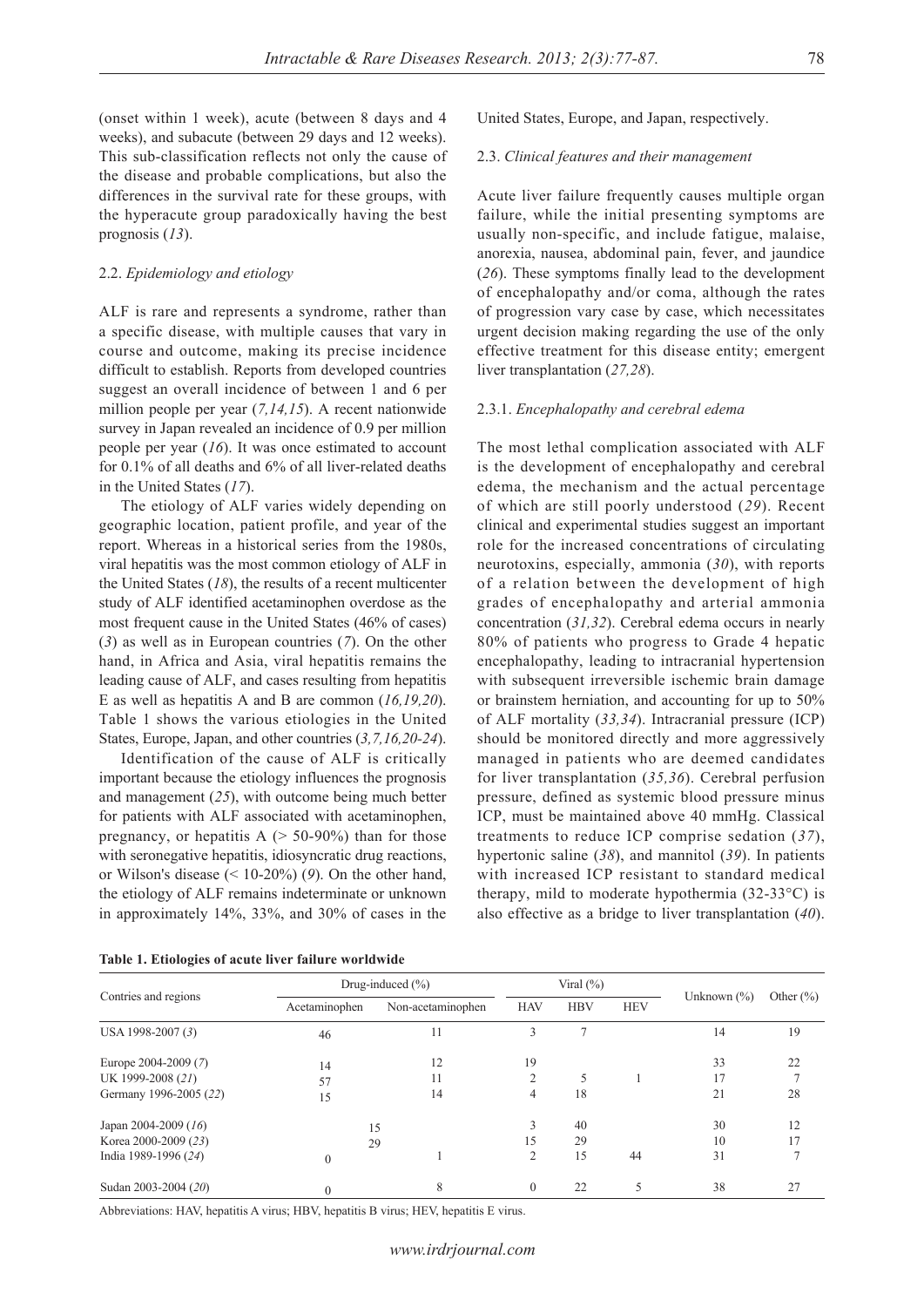(onset within 1 week), acute (between 8 days and 4 weeks), and subacute (between 29 days and 12 weeks). This sub-classification reflects not only the cause of the disease and probable complications, but also the differences in the survival rate for these groups, with the hyperacute group paradoxically having the best prognosis (*13*).

#### 2.2. *Epidemiology and etiology*

ALF is rare and represents a syndrome, rather than a specific disease, with multiple causes that vary in course and outcome, making its precise incidence difficult to establish. Reports from developed countries suggest an overall incidence of between 1 and 6 per million people per year (*7,14,15*). A recent nationwide survey in Japan revealed an incidence of 0.9 per million people per year (*16*). It was once estimated to account for 0.1% of all deaths and 6% of all liver-related deaths in the United States (*17*).

The etiology of ALF varies widely depending on geographic location, patient profile, and year of the report. Whereas in a historical series from the 1980s, viral hepatitis was the most common etiology of ALF in the United States (*18*), the results of a recent multicenter study of ALF identified acetaminophen overdose as the most frequent cause in the United States (46% of cases) (*3*) as well as in European countries (*7*). On the other hand, in Africa and Asia, viral hepatitis remains the leading cause of ALF, and cases resulting from hepatitis E as well as hepatitis A and B are common (*16,19,20*). Table 1 shows the various etiologies in the United States, Europe, Japan, and other countries (*3,7,16,20-24*).

Identification of the cause of ALF is critically important because the etiology influences the prognosis and management (*25*), with outcome being much better for patients with ALF associated with acetaminophen, pregnancy, or hepatitis  $A$  ( $> 50-90\%$ ) than for those with seronegative hepatitis, idiosyncratic drug reactions, or Wilson's disease (< 10-20%) (*9*). On the other hand, the etiology of ALF remains indeterminate or unknown in approximately 14%, 33%, and 30% of cases in the

United States, Europe, and Japan, respectively.

#### 2.3. *Clinical features and their management*

Acute liver failure frequently causes multiple organ failure, while the initial presenting symptoms are usually non-specific, and include fatigue, malaise, anorexia, nausea, abdominal pain, fever, and jaundice (*26*). These symptoms finally lead to the development of encephalopathy and/or coma, although the rates of progression vary case by case, which necessitates urgent decision making regarding the use of the only effective treatment for this disease entity; emergent liver transplantation (*27,28*).

#### 2.3.1. *Encephalopathy and cerebral edema*

The most lethal complication associated with ALF is the development of encephalopathy and cerebral edema, the mechanism and the actual percentage of which are still poorly understood (*29*). Recent clinical and experimental studies suggest an important role for the increased concentrations of circulating neurotoxins, especially, ammonia (*30*), with reports of a relation between the development of high grades of encephalopathy and arterial ammonia concentration (*31,32*). Cerebral edema occurs in nearly 80% of patients who progress to Grade 4 hepatic encephalopathy, leading to intracranial hypertension with subsequent irreversible ischemic brain damage or brainstem herniation, and accounting for up to 50% of ALF mortality (*33,34*). Intracranial pressure (ICP) should be monitored directly and more aggressively managed in patients who are deemed candidates for liver transplantation (*35,36*). Cerebral perfusion pressure, defined as systemic blood pressure minus ICP, must be maintained above 40 mmHg. Classical treatments to reduce ICP comprise sedation (*37*), hypertonic saline (*38*), and mannitol (*39*). In patients with increased ICP resistant to standard medical therapy, mild to moderate hypothermia (32-33°C) is also effective as a bridge to liver transplantation (*40*).

|                        | Drug-induced $(\% )$ |                   | Viral $(\% )$  |            |            |                 |               |
|------------------------|----------------------|-------------------|----------------|------------|------------|-----------------|---------------|
| Contries and regions   | Acetaminophen        | Non-acetaminophen | <b>HAV</b>     | <b>HBV</b> | <b>HEV</b> | Unknown $(\% )$ | Other $(\% )$ |
| USA 1998-2007 (3)      | 46                   | 11                | 3              |            |            | 14              | 19            |
| Europe 2004-2009 (7)   | 14                   | 12                | 19             |            |            | 33              | 22            |
| UK 1999-2008 (21)      | 57                   | 11                | $\mathfrak{D}$ |            |            | 17              |               |
| Germany 1996-2005 (22) | 15                   | 14                | 4              | 18         |            | 21              | 28            |
| Japan 2004-2009 $(16)$ |                      | 15                |                | 40         |            | 30              | 12            |
| Korea 2000-2009 (23)   | 29                   |                   | 15             | 29         |            | 10              | 17            |
| India 1989-1996 (24)   | $\Omega$             |                   | $\mathfrak{D}$ | 15         | 44         | 31              |               |
| Sudan 2003-2004 (20)   | $\Omega$             | 8                 | $\Omega$       | 22         |            | 38              | 27            |

Abbreviations: HAV, hepatitis A virus; HBV, hepatitis B virus; HEV, hepatitis E virus.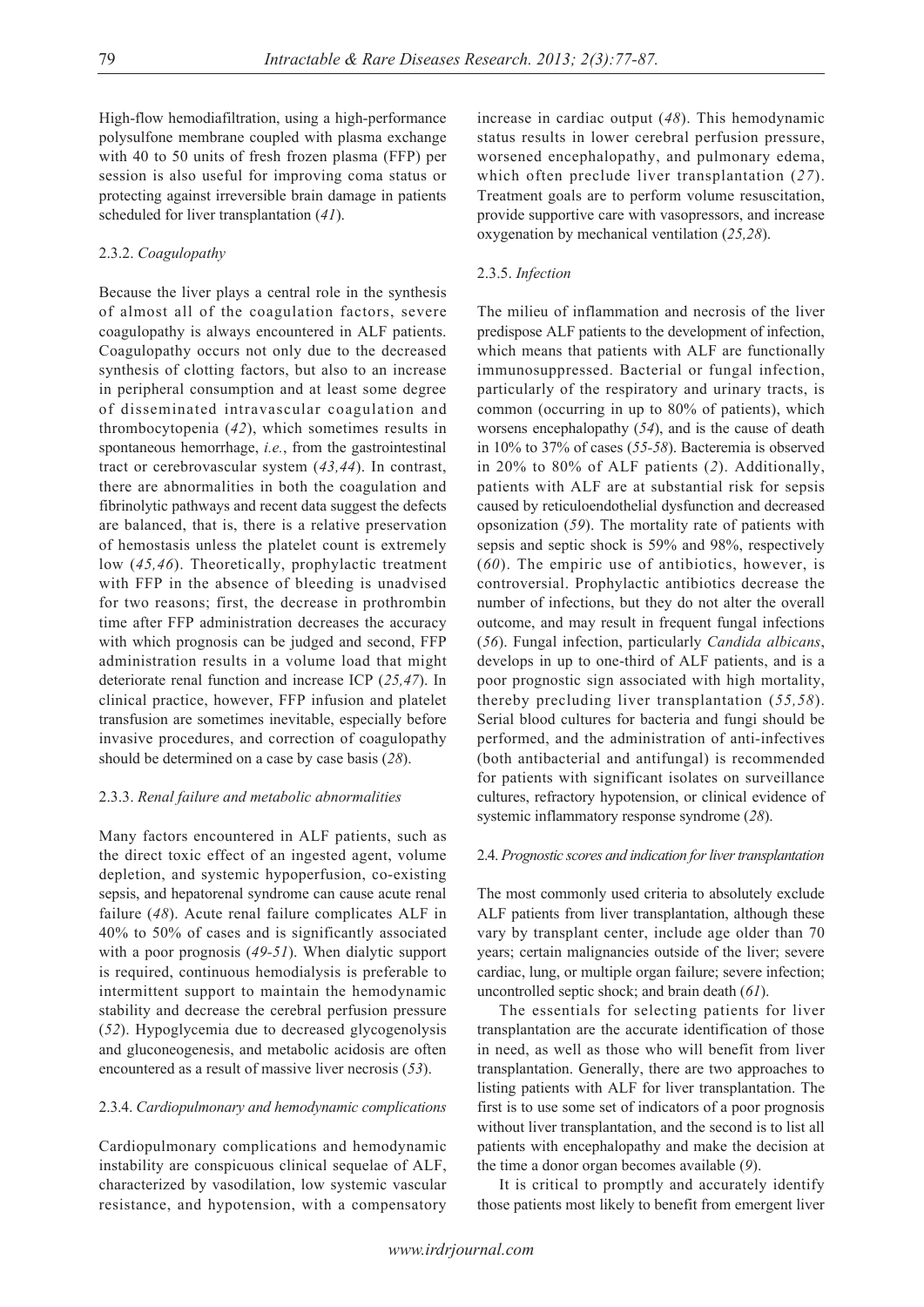High-flow hemodiafiltration, using a high-performance polysulfone membrane coupled with plasma exchange with 40 to 50 units of fresh frozen plasma (FFP) per session is also useful for improving coma status or protecting against irreversible brain damage in patients scheduled for liver transplantation (*41*).

#### 2.3.2. *Coagulopathy*

Because the liver plays a central role in the synthesis of almost all of the coagulation factors, severe coagulopathy is always encountered in ALF patients. Coagulopathy occurs not only due to the decreased synthesis of clotting factors, but also to an increase in peripheral consumption and at least some degree of disseminated intravascular coagulation and thrombocytopenia (*42*), which sometimes results in spontaneous hemorrhage, *i.e.*, from the gastrointestinal tract or cerebrovascular system (*43,44*). In contrast, there are abnormalities in both the coagulation and fibrinolytic pathways and recent data suggest the defects are balanced, that is, there is a relative preservation of hemostasis unless the platelet count is extremely low (*45,46*). Theoretically, prophylactic treatment with FFP in the absence of bleeding is unadvised for two reasons; first, the decrease in prothrombin time after FFP administration decreases the accuracy with which prognosis can be judged and second, FFP administration results in a volume load that might deteriorate renal function and increase ICP (*25,47*). In clinical practice, however, FFP infusion and platelet transfusion are sometimes inevitable, especially before invasive procedures, and correction of coagulopathy should be determined on a case by case basis (*28*).

#### 2.3.3. *Renal failure and metabolic abnormalities*

Many factors encountered in ALF patients, such as the direct toxic effect of an ingested agent, volume depletion, and systemic hypoperfusion, co-existing sepsis, and hepatorenal syndrome can cause acute renal failure (*48*). Acute renal failure complicates ALF in 40% to 50% of cases and is significantly associated with a poor prognosis (*49-51*). When dialytic support is required, continuous hemodialysis is preferable to intermittent support to maintain the hemodynamic stability and decrease the cerebral perfusion pressure (*52*). Hypoglycemia due to decreased glycogenolysis and gluconeogenesis, and metabolic acidosis are often encountered as a result of massive liver necrosis (*53*).

#### 2.3.4. *Cardiopulmonary and hemodynamic complications*

Cardiopulmonary complications and hemodynamic instability are conspicuous clinical sequelae of ALF, characterized by vasodilation, low systemic vascular resistance, and hypotension, with a compensatory increase in cardiac output (*48*). This hemodynamic status results in lower cerebral perfusion pressure, worsened encephalopathy, and pulmonary edema, which often preclude liver transplantation (*27*). Treatment goals are to perform volume resuscitation, provide supportive care with vasopressors, and increase oxygenation by mechanical ventilation (*25,28*).

#### 2.3.5. *Infection*

The milieu of inflammation and necrosis of the liver predispose ALF patients to the development of infection, which means that patients with ALF are functionally immunosuppressed. Bacterial or fungal infection, particularly of the respiratory and urinary tracts, is common (occurring in up to 80% of patients), which worsens encephalopathy (*54*), and is the cause of death in 10% to 37% of cases (*55-58*). Bacteremia is observed in 20% to 80% of ALF patients (*2*). Additionally, patients with ALF are at substantial risk for sepsis caused by reticuloendothelial dysfunction and decreased opsonization (*59*). The mortality rate of patients with sepsis and septic shock is 59% and 98%, respectively (*60*). The empiric use of antibiotics, however, is controversial. Prophylactic antibiotics decrease the number of infections, but they do not alter the overall outcome, and may result in frequent fungal infections (*56*). Fungal infection, particularly *Candida albicans*, develops in up to one-third of ALF patients, and is a poor prognostic sign associated with high mortality, thereby precluding liver transplantation (*55,58*). Serial blood cultures for bacteria and fungi should be performed, and the administration of anti-infectives (both antibacterial and antifungal) is recommended for patients with significant isolates on surveillance cultures, refractory hypotension, or clinical evidence of systemic inflammatory response syndrome (*28*).

#### 2.4. *Prognostic scores and indication for liver transplantation*

The most commonly used criteria to absolutely exclude ALF patients from liver transplantation, although these vary by transplant center, include age older than 70 years; certain malignancies outside of the liver; severe cardiac, lung, or multiple organ failure; severe infection; uncontrolled septic shock; and brain death (*61*).

The essentials for selecting patients for liver transplantation are the accurate identification of those in need, as well as those who will benefit from liver transplantation. Generally, there are two approaches to listing patients with ALF for liver transplantation. The first is to use some set of indicators of a poor prognosis without liver transplantation, and the second is to list all patients with encephalopathy and make the decision at the time a donor organ becomes available (*9*).

It is critical to promptly and accurately identify those patients most likely to benefit from emergent liver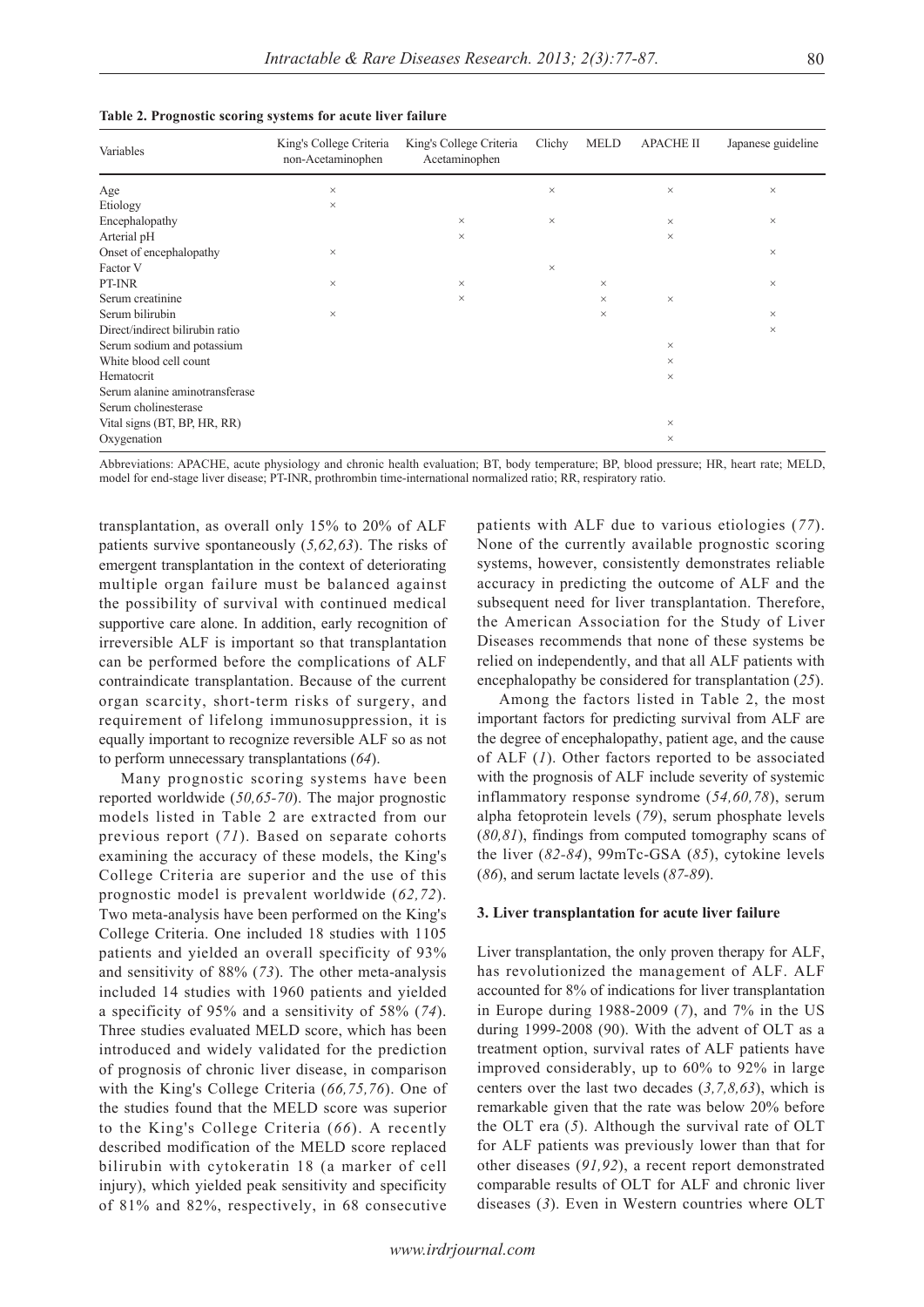|  |  | Table 2. Prognostic scoring systems for acute liver failure |  |  |  |  |  |  |
|--|--|-------------------------------------------------------------|--|--|--|--|--|--|
|--|--|-------------------------------------------------------------|--|--|--|--|--|--|

| Variables                       | King's College Criteria<br>non-Acetaminophen | King's College Criteria<br>Acetaminophen | Clichy   | <b>MELD</b> | <b>APACHE II</b> | Japanese guideline |
|---------------------------------|----------------------------------------------|------------------------------------------|----------|-------------|------------------|--------------------|
| Age                             | $\times$                                     |                                          | $\times$ |             | $\times$         | $\times$           |
| Etiology                        | $\times$                                     |                                          |          |             |                  |                    |
| Encephalopathy                  |                                              | $\times$                                 | $\times$ |             | $\times$         | $\times$           |
| Arterial pH                     |                                              | $\times$                                 |          |             | $\times$         |                    |
| Onset of encephalopathy         | $\times$                                     |                                          |          |             |                  | $\times$           |
| Factor V                        |                                              |                                          | $\times$ |             |                  |                    |
| PT-INR                          | $\times$                                     | $\times$                                 |          | $\times$    |                  | $\times$           |
| Serum creatinine                |                                              | $\times$                                 |          | $\times$    | $\times$         |                    |
| Serum bilirubin                 | $\times$                                     |                                          |          | $\times$    |                  | $\times$           |
| Direct/indirect bilirubin ratio |                                              |                                          |          |             |                  | $\times$           |
| Serum sodium and potassium      |                                              |                                          |          |             | $\times$         |                    |
| White blood cell count          |                                              |                                          |          |             | $\times$         |                    |
| Hematocrit                      |                                              |                                          |          |             | $\times$         |                    |
| Serum alanine aminotransferase  |                                              |                                          |          |             |                  |                    |
| Serum cholinesterase            |                                              |                                          |          |             |                  |                    |
| Vital signs (BT, BP, HR, RR)    |                                              |                                          |          |             | $\times$         |                    |
| Oxygenation                     |                                              |                                          |          |             | $\times$         |                    |

Abbreviations: APACHE, acute physiology and chronic health evaluation; BT, body temperature; BP, blood pressure; HR, heart rate; MELD, model for end-stage liver disease; PT-INR, prothrombin time-international normalized ratio; RR, respiratory ratio.

transplantation, as overall only 15% to 20% of ALF patients survive spontaneously (*5,62,63*). The risks of emergent transplantation in the context of deteriorating multiple organ failure must be balanced against the possibility of survival with continued medical supportive care alone. In addition, early recognition of irreversible ALF is important so that transplantation can be performed before the complications of ALF contraindicate transplantation. Because of the current organ scarcity, short-term risks of surgery, and requirement of lifelong immunosuppression, it is equally important to recognize reversible ALF so as not to perform unnecessary transplantations (*64*).

Many prognostic scoring systems have been reported worldwide (*50,65-70*). The major prognostic models listed in Table 2 are extracted from our previous report (*71*). Based on separate cohorts examining the accuracy of these models, the King's College Criteria are superior and the use of this prognostic model is prevalent worldwide (*62,72*). Two meta-analysis have been performed on the King's College Criteria. One included 18 studies with 1105 patients and yielded an overall specificity of 93% and sensitivity of 88% (*73*). The other meta-analysis included 14 studies with 1960 patients and yielded a specificity of 95% and a sensitivity of 58% (*74*). Three studies evaluated MELD score, which has been introduced and widely validated for the prediction of prognosis of chronic liver disease, in comparison with the King's College Criteria (*66,75,76*). One of the studies found that the MELD score was superior to the King's College Criteria (*66*). A recently described modification of the MELD score replaced bilirubin with cytokeratin 18 (a marker of cell injury), which yielded peak sensitivity and specificity of 81% and 82%, respectively, in 68 consecutive

patients with ALF due to various etiologies (*77*). None of the currently available prognostic scoring systems, however, consistently demonstrates reliable accuracy in predicting the outcome of ALF and the subsequent need for liver transplantation. Therefore, the American Association for the Study of Liver Diseases recommends that none of these systems be relied on independently, and that all ALF patients with encephalopathy be considered for transplantation (*25*).

Among the factors listed in Table 2, the most important factors for predicting survival from ALF are the degree of encephalopathy, patient age, and the cause of ALF (*1*). Other factors reported to be associated with the prognosis of ALF include severity of systemic inflammatory response syndrome (*54,60,78*), serum alpha fetoprotein levels (*79*), serum phosphate levels (*80,81*), findings from computed tomography scans of the liver (*82-84*), 99mTc-GSA (*85*), cytokine levels (*86*), and serum lactate levels (*87-89*).

#### **3. Liver transplantation for acute liver failure**

Liver transplantation, the only proven therapy for ALF, has revolutionized the management of ALF. ALF accounted for 8% of indications for liver transplantation in Europe during 1988-2009 (*7*), and 7% in the US during 1999-2008 (90). With the advent of OLT as a treatment option, survival rates of ALF patients have improved considerably, up to 60% to 92% in large centers over the last two decades (*3,7,8,63*), which is remarkable given that the rate was below 20% before the OLT era (*5*). Although the survival rate of OLT for ALF patients was previously lower than that for other diseases (*91,92*), a recent report demonstrated comparable results of OLT for ALF and chronic liver diseases (*3*). Even in Western countries where OLT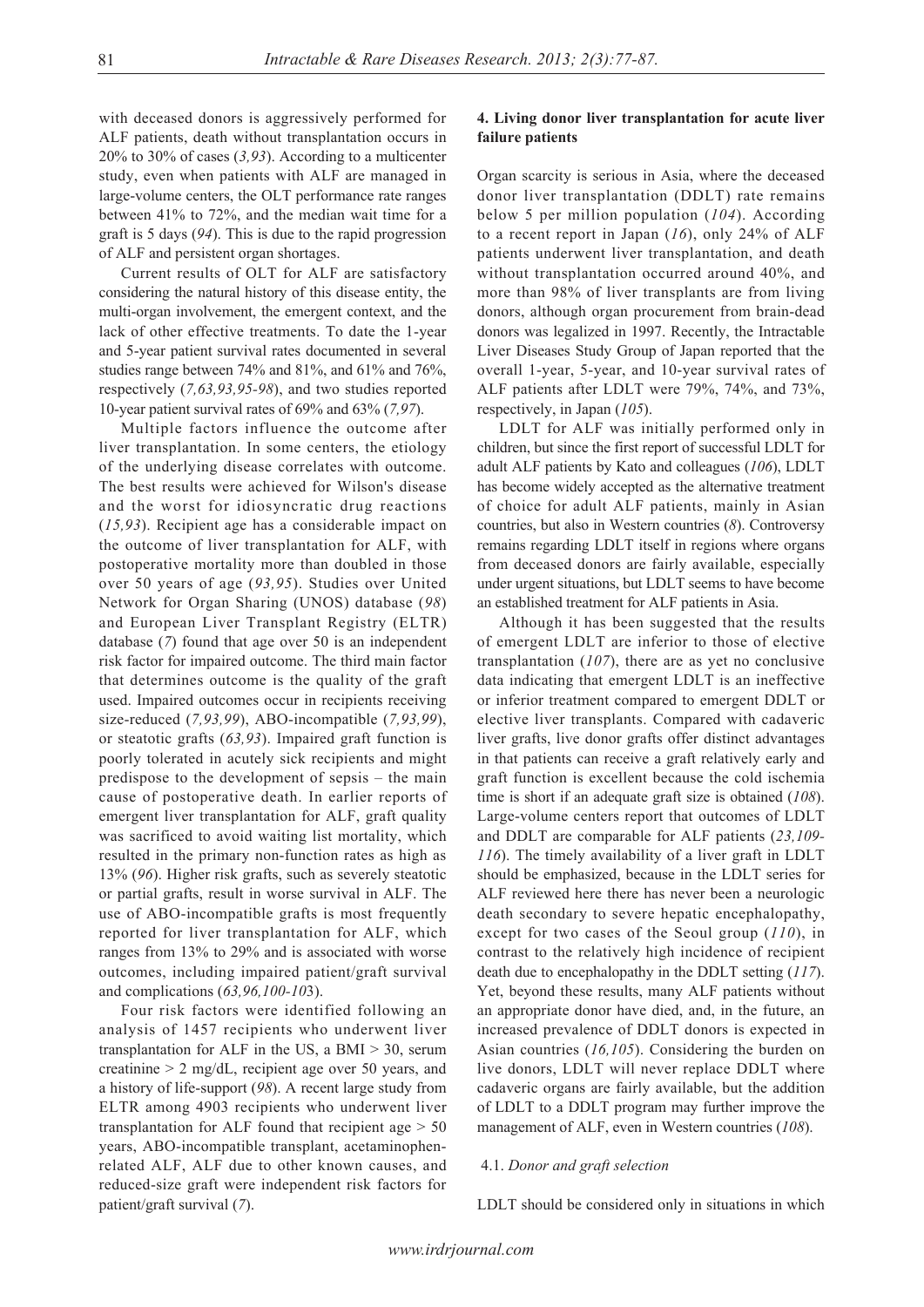with deceased donors is aggressively performed for ALF patients, death without transplantation occurs in 20% to 30% of cases (*3,93*). According to a multicenter study, even when patients with ALF are managed in large-volume centers, the OLT performance rate ranges between 41% to 72%, and the median wait time for a graft is 5 days (*94*). This is due to the rapid progression of ALF and persistent organ shortages.

Current results of OLT for ALF are satisfactory considering the natural history of this disease entity, the multi-organ involvement, the emergent context, and the lack of other effective treatments. To date the 1-year and 5-year patient survival rates documented in several studies range between 74% and 81%, and 61% and 76%, respectively (*7,63,93,95-98*), and two studies reported 10-year patient survival rates of 69% and 63% (*7,97*).

Multiple factors influence the outcome after liver transplantation. In some centers, the etiology of the underlying disease correlates with outcome. The best results were achieved for Wilson's disease and the worst for idiosyncratic drug reactions (*15,93*). Recipient age has a considerable impact on the outcome of liver transplantation for ALF, with postoperative mortality more than doubled in those over 50 years of age (*93,95*). Studies over United Network for Organ Sharing (UNOS) database (*98*) and European Liver Transplant Registry (ELTR) database (*7*) found that age over 50 is an independent risk factor for impaired outcome. The third main factor that determines outcome is the quality of the graft used. Impaired outcomes occur in recipients receiving size-reduced (*7,93,99*), ABO-incompatible (*7,93,99*), or steatotic grafts (*63,93*). Impaired graft function is poorly tolerated in acutely sick recipients and might predispose to the development of sepsis – the main cause of postoperative death. In earlier reports of emergent liver transplantation for ALF, graft quality was sacrificed to avoid waiting list mortality, which resulted in the primary non-function rates as high as 13% (*96*). Higher risk grafts, such as severely steatotic or partial grafts, result in worse survival in ALF. The use of ABO-incompatible grafts is most frequently reported for liver transplantation for ALF, which ranges from 13% to 29% and is associated with worse outcomes, including impaired patient/graft survival and complications (*63,96,100-10*3).

Four risk factors were identified following an analysis of 1457 recipients who underwent liver transplantation for ALF in the US, a BMI  $>$  30, serum creatinine  $> 2$  mg/dL, recipient age over 50 years, and a history of life-support (*98*). A recent large study from ELTR among 4903 recipients who underwent liver transplantation for ALF found that recipient age  $> 50$ years, ABO-incompatible transplant, acetaminophenrelated ALF, ALF due to other known causes, and reduced-size graft were independent risk factors for patient/graft survival (*7*).

#### **4. Living donor liver transplantation for acute liver failure patients**

Organ scarcity is serious in Asia, where the deceased donor liver transplantation (DDLT) rate remains below 5 per million population (*104*). According to a recent report in Japan (*16*), only 24% of ALF patients underwent liver transplantation, and death without transplantation occurred around 40%, and more than 98% of liver transplants are from living donors, although organ procurement from brain-dead donors was legalized in 1997. Recently, the Intractable Liver Diseases Study Group of Japan reported that the overall 1-year, 5-year, and 10-year survival rates of ALF patients after LDLT were 79%, 74%, and 73%, respectively, in Japan (*105*).

LDLT for ALF was initially performed only in children, but since the first report of successful LDLT for adult ALF patients by Kato and colleagues (*106*), LDLT has become widely accepted as the alternative treatment of choice for adult ALF patients, mainly in Asian countries, but also in Western countries (*8*). Controversy remains regarding LDLT itself in regions where organs from deceased donors are fairly available, especially under urgent situations, but LDLT seems to have become an established treatment for ALF patients in Asia.

Although it has been suggested that the results of emergent LDLT are inferior to those of elective transplantation (*107*), there are as yet no conclusive data indicating that emergent LDLT is an ineffective or inferior treatment compared to emergent DDLT or elective liver transplants. Compared with cadaveric liver grafts, live donor grafts offer distinct advantages in that patients can receive a graft relatively early and graft function is excellent because the cold ischemia time is short if an adequate graft size is obtained (*108*). Large-volume centers report that outcomes of LDLT and DDLT are comparable for ALF patients (*23,109- 116*). The timely availability of a liver graft in LDLT should be emphasized, because in the LDLT series for ALF reviewed here there has never been a neurologic death secondary to severe hepatic encephalopathy, except for two cases of the Seoul group (*110*), in contrast to the relatively high incidence of recipient death due to encephalopathy in the DDLT setting (*117*). Yet, beyond these results, many ALF patients without an appropriate donor have died, and, in the future, an increased prevalence of DDLT donors is expected in Asian countries (*16,105*). Considering the burden on live donors, LDLT will never replace DDLT where cadaveric organs are fairly available, but the addition of LDLT to a DDLT program may further improve the management of ALF, even in Western countries (*108*).

#### 4.1. *Donor and graft selection*

LDLT should be considered only in situations in which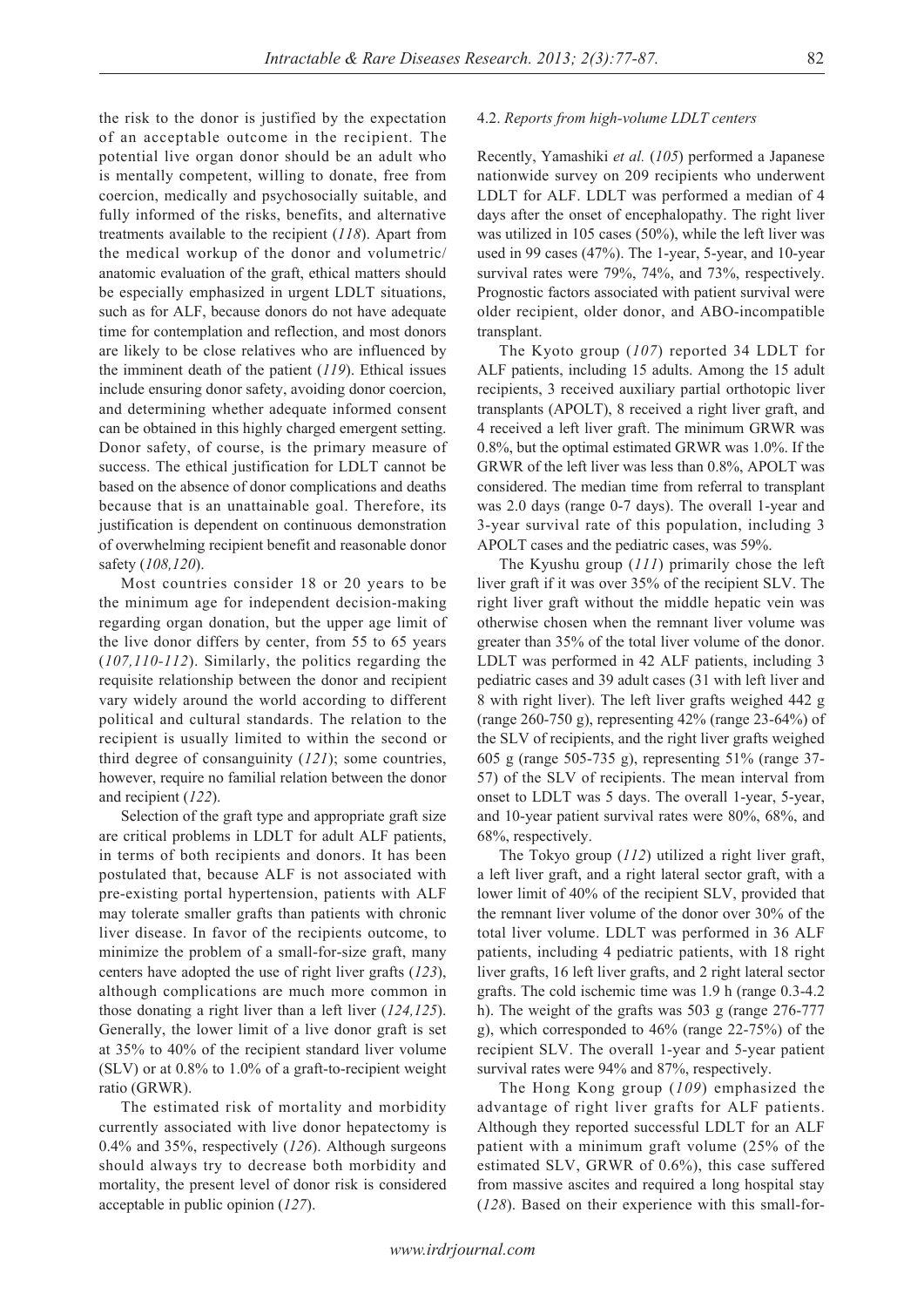the risk to the donor is justified by the expectation of an acceptable outcome in the recipient. The potential live organ donor should be an adult who is mentally competent, willing to donate, free from coercion, medically and psychosocially suitable, and fully informed of the risks, benefits, and alternative treatments available to the recipient (*118*). Apart from the medical workup of the donor and volumetric/ anatomic evaluation of the graft, ethical matters should be especially emphasized in urgent LDLT situations, such as for ALF, because donors do not have adequate time for contemplation and reflection, and most donors are likely to be close relatives who are influenced by the imminent death of the patient (*119*). Ethical issues include ensuring donor safety, avoiding donor coercion, and determining whether adequate informed consent can be obtained in this highly charged emergent setting. Donor safety, of course, is the primary measure of success. The ethical justification for LDLT cannot be based on the absence of donor complications and deaths because that is an unattainable goal. Therefore, its justification is dependent on continuous demonstration of overwhelming recipient benefit and reasonable donor safety (*108,120*).

Most countries consider 18 or 20 years to be the minimum age for independent decision-making regarding organ donation, but the upper age limit of the live donor differs by center, from 55 to 65 years (*107,110-112*). Similarly, the politics regarding the requisite relationship between the donor and recipient vary widely around the world according to different political and cultural standards. The relation to the recipient is usually limited to within the second or third degree of consanguinity (*121*); some countries, however, require no familial relation between the donor and recipient (*122*).

Selection of the graft type and appropriate graft size are critical problems in LDLT for adult ALF patients, in terms of both recipients and donors. It has been postulated that, because ALF is not associated with pre-existing portal hypertension, patients with ALF may tolerate smaller grafts than patients with chronic liver disease. In favor of the recipients outcome, to minimize the problem of a small-for-size graft, many centers have adopted the use of right liver grafts (*123*), although complications are much more common in those donating a right liver than a left liver (*124,125*). Generally, the lower limit of a live donor graft is set at 35% to 40% of the recipient standard liver volume (SLV) or at 0.8% to 1.0% of a graft-to-recipient weight ratio (GRWR).

The estimated risk of mortality and morbidity currently associated with live donor hepatectomy is 0.4% and 35%, respectively (*126*). Although surgeons should always try to decrease both morbidity and mortality, the present level of donor risk is considered acceptable in public opinion (*127*).

#### 4.2. *Reports from high-volume LDLT centers*

Recently, Yamashiki *et al.* (*105*) performed a Japanese nationwide survey on 209 recipients who underwent LDLT for ALF. LDLT was performed a median of 4 days after the onset of encephalopathy. The right liver was utilized in 105 cases (50%), while the left liver was used in 99 cases (47%). The 1-year, 5-year, and 10-year survival rates were 79%, 74%, and 73%, respectively. Prognostic factors associated with patient survival were older recipient, older donor, and ABO-incompatible transplant.

The Kyoto group (*107*) reported 34 LDLT for ALF patients, including 15 adults. Among the 15 adult recipients, 3 received auxiliary partial orthotopic liver transplants (APOLT), 8 received a right liver graft, and 4 received a left liver graft. The minimum GRWR was 0.8%, but the optimal estimated GRWR was 1.0%. If the GRWR of the left liver was less than 0.8%, APOLT was considered. The median time from referral to transplant was 2.0 days (range 0-7 days). The overall 1-year and 3-year survival rate of this population, including 3 APOLT cases and the pediatric cases, was 59%.

The Kyushu group (*111*) primarily chose the left liver graft if it was over 35% of the recipient SLV. The right liver graft without the middle hepatic vein was otherwise chosen when the remnant liver volume was greater than 35% of the total liver volume of the donor. LDLT was performed in 42 ALF patients, including 3 pediatric cases and 39 adult cases (31 with left liver and 8 with right liver). The left liver grafts weighed 442 g (range 260-750 g), representing 42% (range 23-64%) of the SLV of recipients, and the right liver grafts weighed 605 g (range 505-735 g), representing 51% (range 37- 57) of the SLV of recipients. The mean interval from onset to LDLT was 5 days. The overall 1-year, 5-year, and 10-year patient survival rates were 80%, 68%, and 68%, respectively.

The Tokyo group (*112*) utilized a right liver graft, a left liver graft, and a right lateral sector graft, with a lower limit of 40% of the recipient SLV, provided that the remnant liver volume of the donor over 30% of the total liver volume. LDLT was performed in 36 ALF patients, including 4 pediatric patients, with 18 right liver grafts, 16 left liver grafts, and 2 right lateral sector grafts. The cold ischemic time was 1.9 h (range 0.3-4.2 h). The weight of the grafts was 503 g (range 276-777 g), which corresponded to 46% (range 22-75%) of the recipient SLV. The overall 1-year and 5-year patient survival rates were 94% and 87%, respectively.

The Hong Kong group (*109*) emphasized the advantage of right liver grafts for ALF patients. Although they reported successful LDLT for an ALF patient with a minimum graft volume (25% of the estimated SLV, GRWR of 0.6%), this case suffered from massive ascites and required a long hospital stay (*128*). Based on their experience with this small-for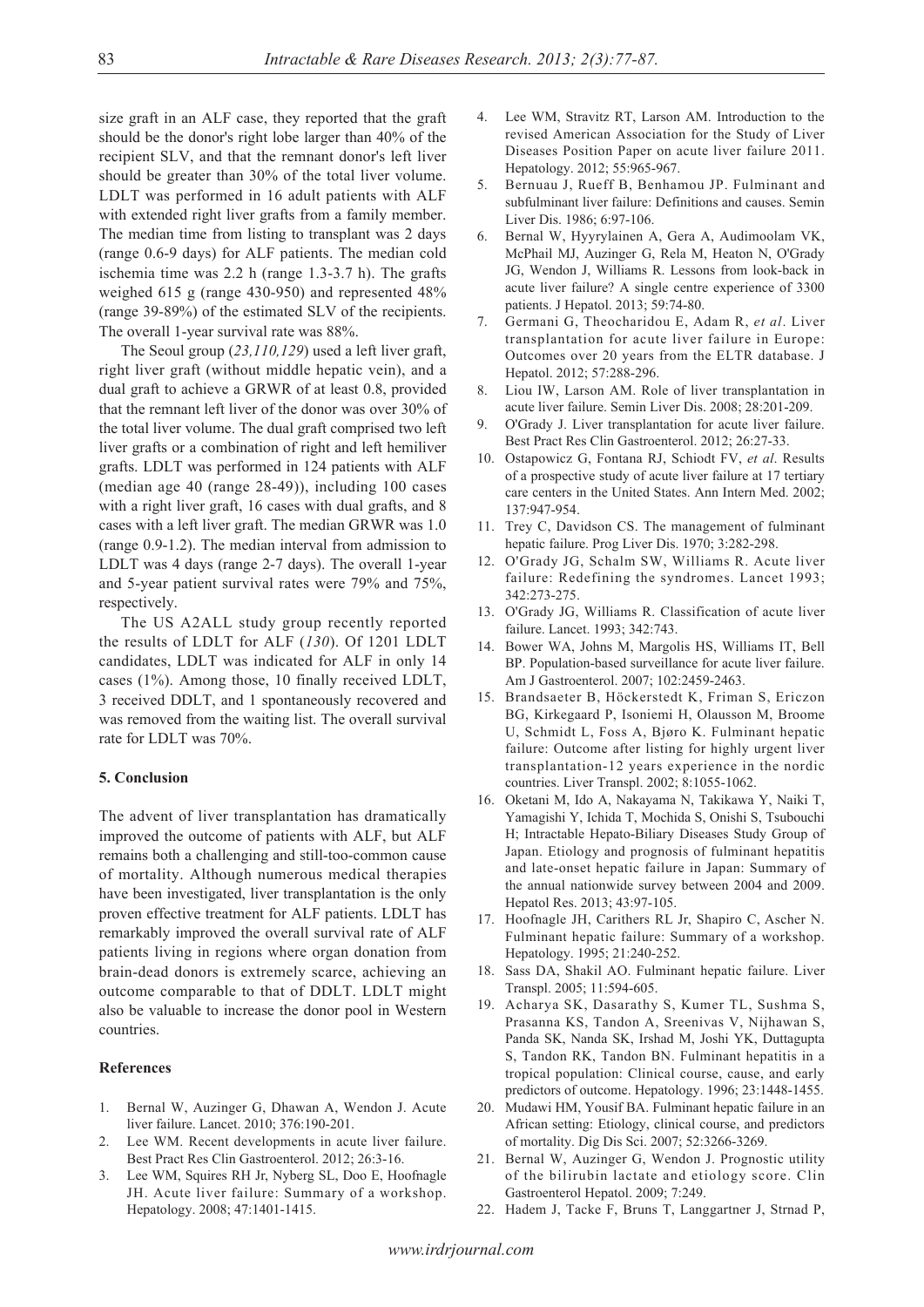size graft in an ALF case, they reported that the graft should be the donor's right lobe larger than 40% of the recipient SLV, and that the remnant donor's left liver should be greater than 30% of the total liver volume. LDLT was performed in 16 adult patients with ALF with extended right liver grafts from a family member. The median time from listing to transplant was 2 days (range 0.6-9 days) for ALF patients. The median cold ischemia time was 2.2 h (range 1.3-3.7 h). The grafts weighed 615 g (range 430-950) and represented 48% (range 39-89%) of the estimated SLV of the recipients. The overall 1-year survival rate was 88%.

The Seoul group (*23,110,129*) used a left liver graft, right liver graft (without middle hepatic vein), and a dual graft to achieve a GRWR of at least 0.8, provided that the remnant left liver of the donor was over 30% of the total liver volume. The dual graft comprised two left liver grafts or a combination of right and left hemiliver grafts. LDLT was performed in 124 patients with ALF (median age 40 (range 28-49)), including 100 cases with a right liver graft, 16 cases with dual grafts, and 8 cases with a left liver graft. The median GRWR was 1.0 (range 0.9-1.2). The median interval from admission to LDLT was 4 days (range 2-7 days). The overall 1-year and 5-year patient survival rates were 79% and 75%, respectively.

The US A2ALL study group recently reported the results of LDLT for ALF (*130*). Of 1201 LDLT candidates, LDLT was indicated for ALF in only 14 cases (1%). Among those, 10 finally received LDLT, 3 received DDLT, and 1 spontaneously recovered and was removed from the waiting list. The overall survival rate for LDLT was 70%.

#### **5. Conclusion**

The advent of liver transplantation has dramatically improved the outcome of patients with ALF, but ALF remains both a challenging and still-too-common cause of mortality. Although numerous medical therapies have been investigated, liver transplantation is the only proven effective treatment for ALF patients. LDLT has remarkably improved the overall survival rate of ALF patients living in regions where organ donation from brain-dead donors is extremely scarce, achieving an outcome comparable to that of DDLT. LDLT might also be valuable to increase the donor pool in Western countries.

#### **References**

- 1. Bernal W, Auzinger G, Dhawan A, Wendon J. Acute liver failure. Lancet. 2010; 376:190-201.
- 2. Lee WM. Recent developments in acute liver failure. Best Pract Res Clin Gastroenterol. 2012; 26:3-16.
- 3. Lee WM, Squires RH Jr, Nyberg SL, Doo E, Hoofnagle JH. Acute liver failure: Summary of a workshop. Hepatology. 2008; 47:1401-1415.
- 4. Lee WM, Stravitz RT, Larson AM. Introduction to the revised American Association for the Study of Liver Diseases Position Paper on acute liver failure 2011. Hepatology. 2012; 55:965-967.
- 5. Bernuau J, Rueff B, Benhamou JP. Fulminant and subfulminant liver failure: Definitions and causes. Semin Liver Dis. 1986; 6:97-106.
- 6. Bernal W, Hyyrylainen A, Gera A, Audimoolam VK, McPhail MJ, Auzinger G, Rela M, Heaton N, O'Grady JG, Wendon J, Williams R. Lessons from look-back in acute liver failure? A single centre experience of 3300 patients. J Hepatol. 2013; 59:74-80.
- 7. Germani G, Theocharidou E, Adam R, *et al*. Liver transplantation for acute liver failure in Europe: Outcomes over 20 years from the ELTR database. J Hepatol. 2012; 57:288-296.
- 8. Liou IW, Larson AM. Role of liver transplantation in acute liver failure. Semin Liver Dis. 2008; 28:201-209.
- 9. O'Grady J. Liver transplantation for acute liver failure. Best Pract Res Clin Gastroenterol. 2012; 26:27-33.
- 10. Ostapowicz G, Fontana RJ, Schiodt FV, *et al*. Results of a prospective study of acute liver failure at 17 tertiary care centers in the United States. Ann Intern Med. 2002; 137:947-954.
- 11. Trey C, Davidson CS. The management of fulminant hepatic failure. Prog Liver Dis. 1970; 3:282-298.
- 12. O'Grady JG, Schalm SW, Williams R. Acute liver failure: Redefining the syndromes. Lancet 1993; 342:273-275.
- 13. O'Grady JG, Williams R. Classification of acute liver failure. Lancet. 1993; 342:743.
- 14. Bower WA, Johns M, Margolis HS, Williams IT, Bell BP. Population-based surveillance for acute liver failure. Am J Gastroenterol. 2007; 102:2459-2463.
- 15. Brandsaeter B, Höckerstedt K, Friman S, Ericzon BG, Kirkegaard P, Isoniemi H, Olausson M, Broome U, Schmidt L, Foss A, Bjøro K. Fulminant hepatic failure: Outcome after listing for highly urgent liver transplantation-12 years experience in the nordic countries. Liver Transpl. 2002; 8:1055-1062.
- 16. Oketani M, Ido A, Nakayama N, Takikawa Y, Naiki T, Yamagishi Y, Ichida T, Mochida S, Onishi S, Tsubouchi H; Intractable Hepato-Biliary Diseases Study Group of Japan. Etiology and prognosis of fulminant hepatitis and late-onset hepatic failure in Japan: Summary of the annual nationwide survey between 2004 and 2009. Hepatol Res. 2013; 43:97-105.
- 17. Hoofnagle JH, Carithers RL Jr, Shapiro C, Ascher N. Fulminant hepatic failure: Summary of a workshop. Hepatology. 1995; 21:240-252.
- 18. Sass DA, Shakil AO. Fulminant hepatic failure. Liver Transpl. 2005; 11:594-605.
- 19. Acharya SK, Dasarathy S, Kumer TL, Sushma S, Prasanna KS, Tandon A, Sreenivas V, Nijhawan S, Panda SK, Nanda SK, Irshad M, Joshi YK, Duttagupta S, Tandon RK, Tandon BN. Fulminant hepatitis in a tropical population: Clinical course, cause, and early predictors of outcome. Hepatology. 1996; 23:1448-1455.
- 20. Mudawi HM, Yousif BA. Fulminant hepatic failure in an African setting: Etiology, clinical course, and predictors of mortality. Dig Dis Sci. 2007; 52:3266-3269.
- 21. Bernal W, Auzinger G, Wendon J. Prognostic utility of the bilirubin lactate and etiology score. Clin Gastroenterol Hepatol. 2009; 7:249.
- 22. Hadem J, Tacke F, Bruns T, Langgartner J, Strnad P,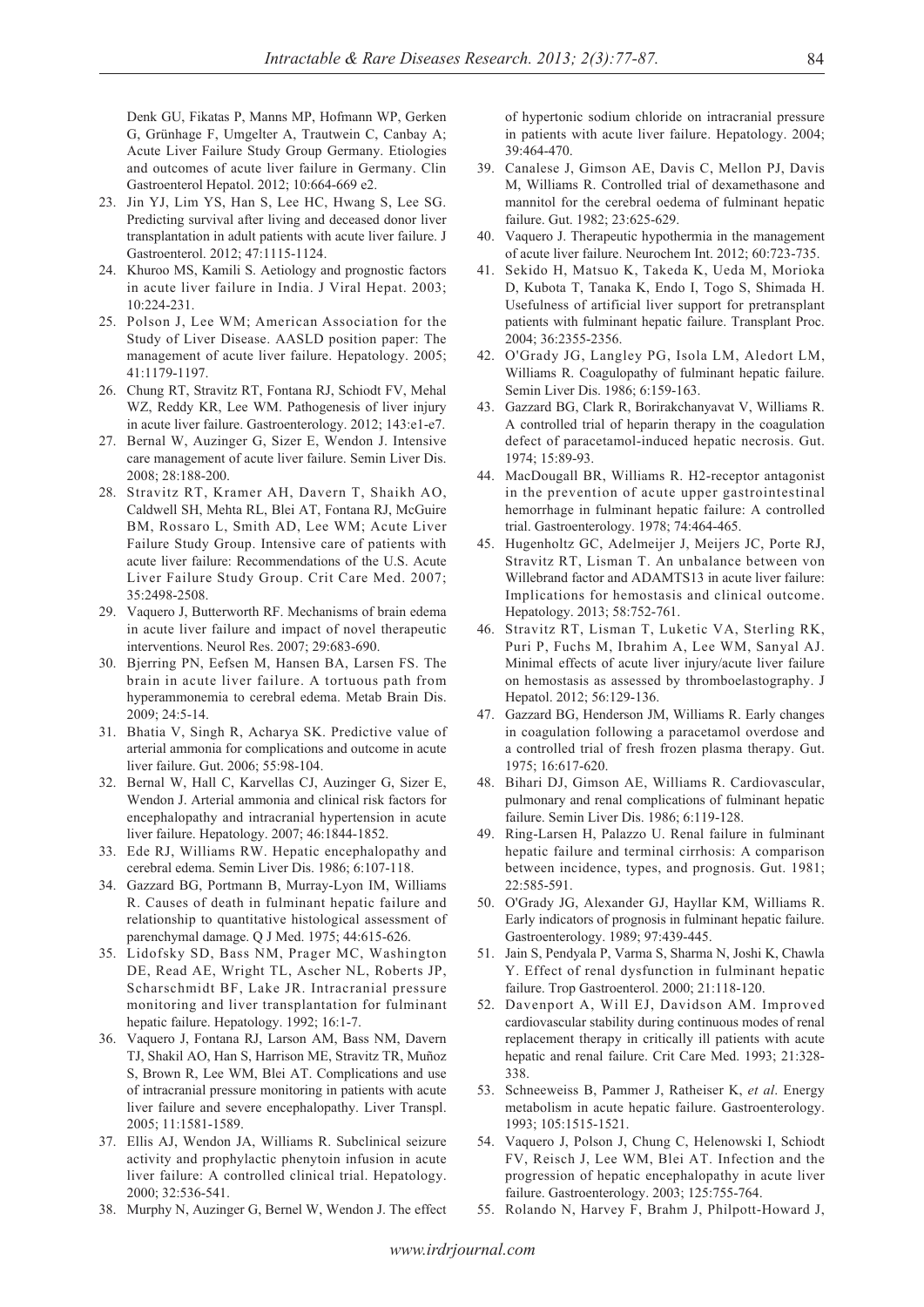Denk GU, Fikatas P, Manns MP, Hofmann WP, Gerken G, Grünhage F, Umgelter A, Trautwein C, Canbay A; Acute Liver Failure Study Group Germany. Etiologies and outcomes of acute liver failure in Germany. Clin Gastroenterol Hepatol. 2012; 10:664-669 e2.

- 23. Jin YJ, Lim YS, Han S, Lee HC, Hwang S, Lee SG. Predicting survival after living and deceased donor liver transplantation in adult patients with acute liver failure. J Gastroenterol. 2012; 47:1115-1124.
- 24. Khuroo MS, Kamili S. Aetiology and prognostic factors in acute liver failure in India. J Viral Hepat. 2003; 10:224-231.
- 25. Polson J, Lee WM; American Association for the Study of Liver Disease. AASLD position paper: The management of acute liver failure. Hepatology. 2005; 41:1179-1197.
- 26. Chung RT, Stravitz RT, Fontana RJ, Schiodt FV, Mehal WZ, Reddy KR, Lee WM. Pathogenesis of liver injury in acute liver failure. Gastroenterology. 2012; 143:e1-e7.
- 27. Bernal W, Auzinger G, Sizer E, Wendon J. Intensive care management of acute liver failure. Semin Liver Dis. 2008; 28:188-200.
- 28. Stravitz RT, Kramer AH, Davern T, Shaikh AO, Caldwell SH, Mehta RL, Blei AT, Fontana RJ, McGuire BM, Rossaro L, Smith AD, Lee WM; Acute Liver Failure Study Group. Intensive care of patients with acute liver failure: Recommendations of the U.S. Acute Liver Failure Study Group. Crit Care Med. 2007; 35:2498-2508.
- 29. Vaquero J, Butterworth RF. Mechanisms of brain edema in acute liver failure and impact of novel therapeutic interventions. Neurol Res. 2007; 29:683-690.
- 30. Bjerring PN, Eefsen M, Hansen BA, Larsen FS. The brain in acute liver failure. A tortuous path from hyperammonemia to cerebral edema. Metab Brain Dis. 2009; 24:5-14.
- 31. Bhatia V, Singh R, Acharya SK. Predictive value of arterial ammonia for complications and outcome in acute liver failure. Gut. 2006; 55:98-104.
- 32. Bernal W, Hall C, Karvellas CJ, Auzinger G, Sizer E, Wendon J. Arterial ammonia and clinical risk factors for encephalopathy and intracranial hypertension in acute liver failure. Hepatology. 2007; 46:1844-1852.
- 33. Ede RJ, Williams RW. Hepatic encephalopathy and cerebral edema. Semin Liver Dis. 1986; 6:107-118.
- 34. Gazzard BG, Portmann B, Murray-Lyon IM, Williams R. Causes of death in fulminant hepatic failure and relationship to quantitative histological assessment of parenchymal damage. Q J Med. 1975; 44:615-626.
- 35. Lidofsky SD, Bass NM, Prager MC, Washington DE, Read AE, Wright TL, Ascher NL, Roberts JP, Scharschmidt BF, Lake JR. Intracranial pressure monitoring and liver transplantation for fulminant hepatic failure. Hepatology. 1992; 16:1-7.
- 36. Vaquero J, Fontana RJ, Larson AM, Bass NM, Davern TJ, Shakil AO, Han S, Harrison ME, Stravitz TR, Muñoz S, Brown R, Lee WM, Blei AT. Complications and use of intracranial pressure monitoring in patients with acute liver failure and severe encephalopathy. Liver Transpl. 2005; 11:1581-1589.
- 37. Ellis AJ, Wendon JA, Williams R. Subclinical seizure activity and prophylactic phenytoin infusion in acute liver failure: A controlled clinical trial. Hepatology. 2000; 32:536-541.
- 38. Murphy N, Auzinger G, Bernel W, Wendon J. The effect

of hypertonic sodium chloride on intracranial pressure in patients with acute liver failure. Hepatology. 2004; 39:464-470.

- 39. Canalese J, Gimson AE, Davis C, Mellon PJ, Davis M, Williams R. Controlled trial of dexamethasone and mannitol for the cerebral oedema of fulminant hepatic failure. Gut. 1982; 23:625-629.
- 40. Vaquero J. Therapeutic hypothermia in the management of acute liver failure. Neurochem Int. 2012; 60:723-735.
- 41. Sekido H, Matsuo K, Takeda K, Ueda M, Morioka D, Kubota T, Tanaka K, Endo I, Togo S, Shimada H. Usefulness of artificial liver support for pretransplant patients with fulminant hepatic failure. Transplant Proc. 2004; 36:2355-2356.
- 42. O'Grady JG, Langley PG, Isola LM, Aledort LM, Williams R. Coagulopathy of fulminant hepatic failure. Semin Liver Dis. 1986; 6:159-163.
- 43. Gazzard BG, Clark R, Borirakchanyavat V, Williams R. A controlled trial of heparin therapy in the coagulation defect of paracetamol-induced hepatic necrosis. Gut. 1974; 15:89-93.
- 44. MacDougall BR, Williams R. H2-receptor antagonist in the prevention of acute upper gastrointestinal hemorrhage in fulminant hepatic failure: A controlled trial. Gastroenterology. 1978; 74:464-465.
- 45. Hugenholtz GC, Adelmeijer J, Meijers JC, Porte RJ, Stravitz RT, Lisman T. An unbalance between von Willebrand factor and ADAMTS13 in acute liver failure: Implications for hemostasis and clinical outcome. Hepatology. 2013; 58:752-761.
- 46. Stravitz RT, Lisman T, Luketic VA, Sterling RK, Puri P, Fuchs M, Ibrahim A, Lee WM, Sanyal AJ. Minimal effects of acute liver injury/acute liver failure on hemostasis as assessed by thromboelastography. J Hepatol. 2012; 56:129-136.
- 47. Gazzard BG, Henderson JM, Williams R. Early changes in coagulation following a paracetamol overdose and a controlled trial of fresh frozen plasma therapy. Gut. 1975; 16:617-620.
- 48. Bihari DJ, Gimson AE, Williams R. Cardiovascular, pulmonary and renal complications of fulminant hepatic failure. Semin Liver Dis. 1986; 6:119-128.
- 49. Ring-Larsen H, Palazzo U. Renal failure in fulminant hepatic failure and terminal cirrhosis: A comparison between incidence, types, and prognosis. Gut. 1981; 22:585-591.
- 50. O'Grady JG, Alexander GJ, Hayllar KM, Williams R. Early indicators of prognosis in fulminant hepatic failure. Gastroenterology. 1989; 97:439-445.
- 51. Jain S, Pendyala P, Varma S, Sharma N, Joshi K, Chawla Y. Effect of renal dysfunction in fulminant hepatic failure. Trop Gastroenterol. 2000; 21:118-120.
- 52. Davenport A, Will EJ, Davidson AM. Improved cardiovascular stability during continuous modes of renal replacement therapy in critically ill patients with acute hepatic and renal failure. Crit Care Med. 1993; 21:328- 338.
- 53. Schneeweiss B, Pammer J, Ratheiser K, *et al*. Energy metabolism in acute hepatic failure. Gastroenterology. 1993; 105:1515-1521.
- 54. Vaquero J, Polson J, Chung C, Helenowski I, Schiodt FV, Reisch J, Lee WM, Blei AT. Infection and the progression of hepatic encephalopathy in acute liver failure. Gastroenterology. 2003; 125:755-764.
- 55. Rolando N, Harvey F, Brahm J, Philpott-Howard J,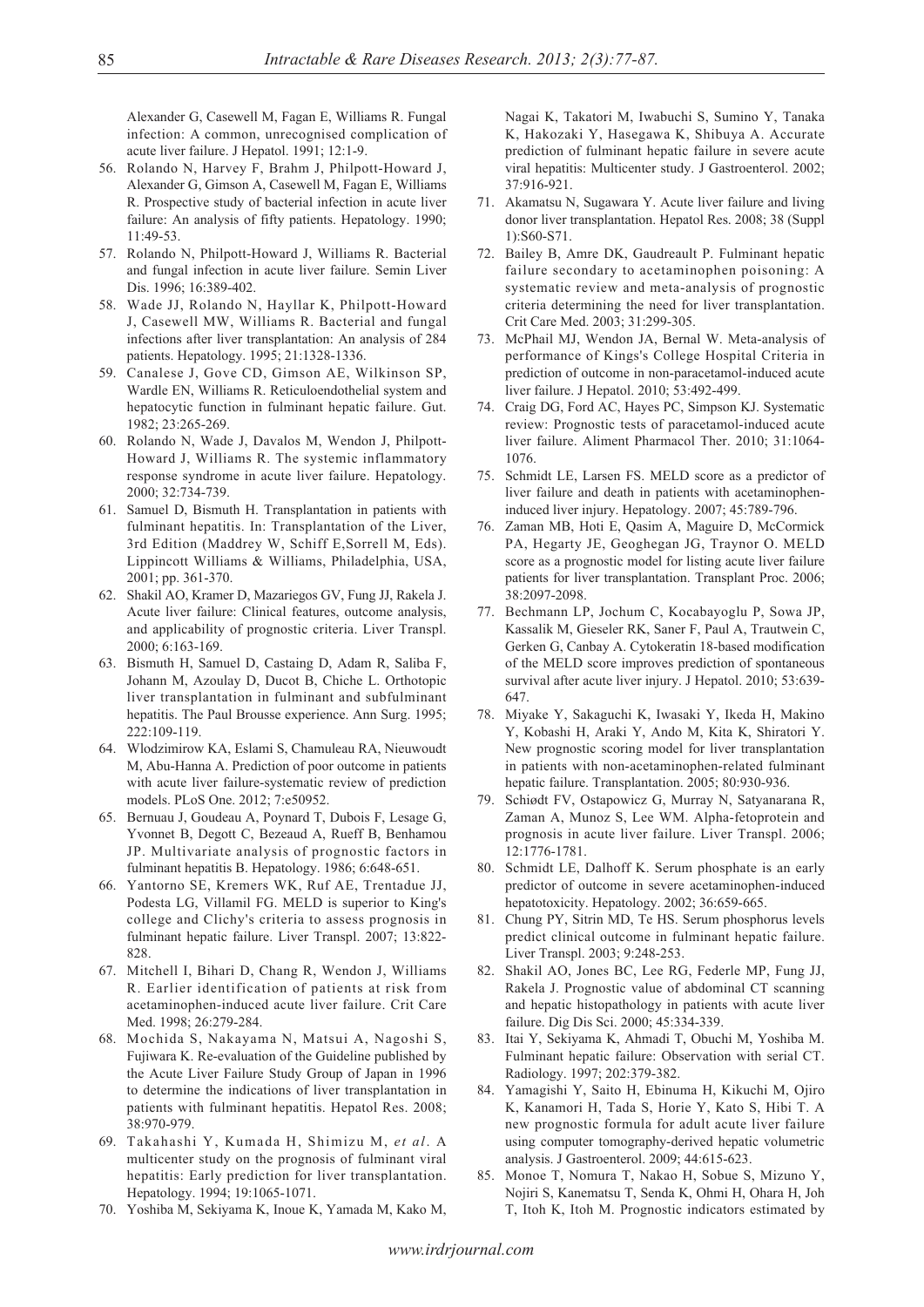Alexander G, Casewell M, Fagan E, Williams R. Fungal infection: A common, unrecognised complication of acute liver failure. J Hepatol. 1991; 12:1-9.

- 56. Rolando N, Harvey F, Brahm J, Philpott-Howard J, Alexander G, Gimson A, Casewell M, Fagan E, Williams R. Prospective study of bacterial infection in acute liver failure: An analysis of fifty patients. Hepatology. 1990;  $11.49 - 53$
- 57. Rolando N, Philpott-Howard J, Williams R. Bacterial and fungal infection in acute liver failure. Semin Liver Dis. 1996; 16:389-402.
- 58. Wade JJ, Rolando N, Hayllar K, Philpott-Howard J, Casewell MW, Williams R. Bacterial and fungal infections after liver transplantation: An analysis of 284 patients. Hepatology. 1995; 21:1328-1336.
- 59. Canalese J, Gove CD, Gimson AE, Wilkinson SP, Wardle EN, Williams R. Reticuloendothelial system and hepatocytic function in fulminant hepatic failure. Gut. 1982; 23:265-269.
- 60. Rolando N, Wade J, Davalos M, Wendon J, Philpott-Howard J, Williams R. The systemic inflammatory response syndrome in acute liver failure. Hepatology. 2000; 32:734-739.
- 61. Samuel D, Bismuth H. Transplantation in patients with fulminant hepatitis. In: Transplantation of the Liver, 3rd Edition (Maddrey W, Schiff E,Sorrell M, Eds). Lippincott Williams & Williams, Philadelphia, USA, 2001; pp. 361-370.
- 62. Shakil AO, Kramer D, Mazariegos GV, Fung JJ, Rakela J. Acute liver failure: Clinical features, outcome analysis, and applicability of prognostic criteria. Liver Transpl. 2000; 6:163-169.
- 63. Bismuth H, Samuel D, Castaing D, Adam R, Saliba F, Johann M, Azoulay D, Ducot B, Chiche L. Orthotopic liver transplantation in fulminant and subfulminant hepatitis. The Paul Brousse experience. Ann Surg. 1995; 222:109-119.
- 64. Wlodzimirow KA, Eslami S, Chamuleau RA, Nieuwoudt M, Abu-Hanna A. Prediction of poor outcome in patients with acute liver failure-systematic review of prediction models. PLoS One. 2012; 7:e50952.
- 65. Bernuau J, Goudeau A, Poynard T, Dubois F, Lesage G, Yvonnet B, Degott C, Bezeaud A, Rueff B, Benhamou JP. Multivariate analysis of prognostic factors in fulminant hepatitis B. Hepatology. 1986; 6:648-651.
- 66. Yantorno SE, Kremers WK, Ruf AE, Trentadue JJ, Podesta LG, Villamil FG. MELD is superior to King's college and Clichy's criteria to assess prognosis in fulminant hepatic failure. Liver Transpl. 2007; 13:822- 828.
- 67. Mitchell I, Bihari D, Chang R, Wendon J, Williams R. Earlier identification of patients at risk from acetaminophen-induced acute liver failure. Crit Care Med. 1998; 26:279-284.
- 68. Mochida S, Nakayama N, Matsui A, Nagoshi S, Fujiwara K. Re-evaluation of the Guideline published by the Acute Liver Failure Study Group of Japan in 1996 to determine the indications of liver transplantation in patients with fulminant hepatitis. Hepatol Res. 2008; 38:970-979.
- 69. Takahashi Y, Kumada H, Shimizu M, *et al*. A multicenter study on the prognosis of fulminant viral hepatitis: Early prediction for liver transplantation. Hepatology. 1994; 19:1065-1071.
- 70. Yoshiba M, Sekiyama K, Inoue K, Yamada M, Kako M,

Nagai K, Takatori M, Iwabuchi S, Sumino Y, Tanaka K, Hakozaki Y, Hasegawa K, Shibuya A. Accurate prediction of fulminant hepatic failure in severe acute viral hepatitis: Multicenter study. J Gastroenterol. 2002; 37:916-921.

- 71. Akamatsu N, Sugawara Y. Acute liver failure and living donor liver transplantation. Hepatol Res. 2008; 38 (Suppl 1):S60-S71.
- 72. Bailey B, Amre DK, Gaudreault P. Fulminant hepatic failure secondary to acetaminophen poisoning: A systematic review and meta-analysis of prognostic criteria determining the need for liver transplantation. Crit Care Med. 2003; 31:299-305.
- 73. McPhail MJ, Wendon JA, Bernal W. Meta-analysis of performance of Kings's College Hospital Criteria in prediction of outcome in non-paracetamol-induced acute liver failure. J Hepatol. 2010; 53:492-499.
- 74. Craig DG, Ford AC, Hayes PC, Simpson KJ. Systematic review: Prognostic tests of paracetamol-induced acute liver failure. Aliment Pharmacol Ther. 2010; 31:1064- 1076.
- 75. Schmidt LE, Larsen FS. MELD score as a predictor of liver failure and death in patients with acetaminopheninduced liver injury. Hepatology. 2007; 45:789-796.
- 76. Zaman MB, Hoti E, Qasim A, Maguire D, McCormick PA, Hegarty JE, Geoghegan JG, Traynor O. MELD score as a prognostic model for listing acute liver failure patients for liver transplantation. Transplant Proc. 2006; 38:2097-2098.
- 77. Bechmann LP, Jochum C, Kocabayoglu P, Sowa JP, Kassalik M, Gieseler RK, Saner F, Paul A, Trautwein C, Gerken G, Canbay A. Cytokeratin 18-based modification of the MELD score improves prediction of spontaneous survival after acute liver injury. J Hepatol. 2010; 53:639- 647.
- 78. Miyake Y, Sakaguchi K, Iwasaki Y, Ikeda H, Makino Y, Kobashi H, Araki Y, Ando M, Kita K, Shiratori Y. New prognostic scoring model for liver transplantation in patients with non-acetaminophen-related fulminant hepatic failure. Transplantation. 2005; 80:930-936.
- 79. Schiødt FV, Ostapowicz G, Murray N, Satyanarana R, Zaman A, Munoz S, Lee WM. Alpha-fetoprotein and prognosis in acute liver failure. Liver Transpl. 2006; 12:1776-1781.
- 80. Schmidt LE, Dalhoff K. Serum phosphate is an early predictor of outcome in severe acetaminophen-induced hepatotoxicity. Hepatology. 2002; 36:659-665.
- 81. Chung PY, Sitrin MD, Te HS. Serum phosphorus levels predict clinical outcome in fulminant hepatic failure. Liver Transpl. 2003; 9:248-253.
- 82. Shakil AO, Jones BC, Lee RG, Federle MP, Fung JJ, Rakela J. Prognostic value of abdominal CT scanning and hepatic histopathology in patients with acute liver failure. Dig Dis Sci. 2000; 45:334-339.
- 83. Itai Y, Sekiyama K, Ahmadi T, Obuchi M, Yoshiba M. Fulminant hepatic failure: Observation with serial CT. Radiology. 1997; 202:379-382.
- 84. Yamagishi Y, Saito H, Ebinuma H, Kikuchi M, Ojiro K, Kanamori H, Tada S, Horie Y, Kato S, Hibi T. A new prognostic formula for adult acute liver failure using computer tomography-derived hepatic volumetric analysis. J Gastroenterol. 2009; 44:615-623.
- 85. Monoe T, Nomura T, Nakao H, Sobue S, Mizuno Y, Nojiri S, Kanematsu T, Senda K, Ohmi H, Ohara H, Joh T, Itoh K, Itoh M. Prognostic indicators estimated by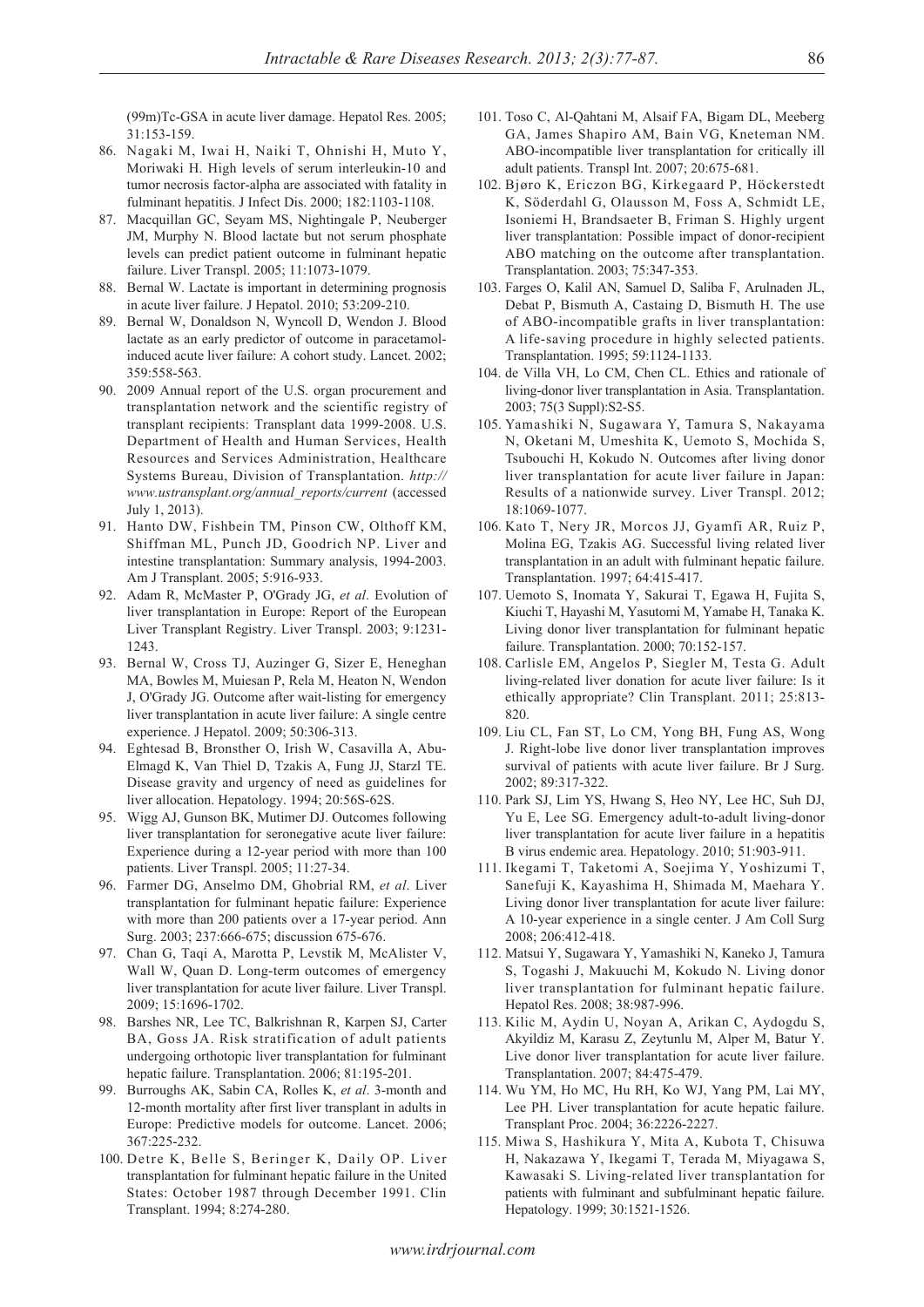(99m)Tc-GSA in acute liver damage. Hepatol Res. 2005; 31:153-159.

- 86. Nagaki M, Iwai H, Naiki T, Ohnishi H, Muto Y, Moriwaki H. High levels of serum interleukin-10 and tumor necrosis factor-alpha are associated with fatality in fulminant hepatitis. J Infect Dis. 2000; 182:1103-1108.
- 87. Macquillan GC, Seyam MS, Nightingale P, Neuberger JM, Murphy N. Blood lactate but not serum phosphate levels can predict patient outcome in fulminant hepatic failure. Liver Transpl. 2005; 11:1073-1079.
- 88. Bernal W. Lactate is important in determining prognosis in acute liver failure. J Hepatol. 2010; 53:209-210.
- 89. Bernal W, Donaldson N, Wyncoll D, Wendon J. Blood lactate as an early predictor of outcome in paracetamolinduced acute liver failure: A cohort study. Lancet. 2002; 359:558-563.
- 90. 2009 Annual report of the U.S. organ procurement and transplantation network and the scientific registry of transplant recipients: Transplant data 1999-2008. U.S. Department of Health and Human Services, Health Resources and Services Administration, Healthcare Systems Bureau, Division of Transplantation. *http:// www.ustransplant.org/annual\_reports/current* (accessed July 1, 2013).
- 91. Hanto DW, Fishbein TM, Pinson CW, Olthoff KM, Shiffman ML, Punch JD, Goodrich NP. Liver and intestine transplantation: Summary analysis, 1994-2003. Am J Transplant. 2005; 5:916-933.
- 92. Adam R, McMaster P, O'Grady JG, *et al*. Evolution of liver transplantation in Europe: Report of the European Liver Transplant Registry. Liver Transpl. 2003; 9:1231-  $1243$
- 93. Bernal W, Cross TJ, Auzinger G, Sizer E, Heneghan MA, Bowles M, Muiesan P, Rela M, Heaton N, Wendon J, O'Grady JG. Outcome after wait-listing for emergency liver transplantation in acute liver failure: A single centre experience. J Hepatol. 2009; 50:306-313.
- 94. Eghtesad B, Bronsther O, Irish W, Casavilla A, Abu-Elmagd K, Van Thiel D, Tzakis A, Fung JJ, Starzl TE. Disease gravity and urgency of need as guidelines for liver allocation. Hepatology. 1994; 20:56S-62S.
- 95. Wigg AJ, Gunson BK, Mutimer DJ. Outcomes following liver transplantation for seronegative acute liver failure: Experience during a 12-year period with more than 100 patients. Liver Transpl. 2005; 11:27-34.
- 96. Farmer DG, Anselmo DM, Ghobrial RM, *et al*. Liver transplantation for fulminant hepatic failure: Experience with more than 200 patients over a 17-year period. Ann Surg. 2003; 237:666-675; discussion 675-676.
- 97. Chan G, Taqi A, Marotta P, Levstik M, McAlister V, Wall W, Quan D. Long-term outcomes of emergency liver transplantation for acute liver failure. Liver Transpl. 2009; 15:1696-1702.
- 98. Barshes NR, Lee TC, Balkrishnan R, Karpen SJ, Carter BA, Goss JA. Risk stratification of adult patients undergoing orthotopic liver transplantation for fulminant hepatic failure. Transplantation. 2006; 81:195-201.
- 99. Burroughs AK, Sabin CA, Rolles K, *et al*. 3-month and 12-month mortality after first liver transplant in adults in Europe: Predictive models for outcome. Lancet. 2006; 367:225-232.
- 100. Detre K, Belle S, Beringer K, Daily OP. Liver transplantation for fulminant hepatic failure in the United States: October 1987 through December 1991. Clin Transplant. 1994; 8:274-280.
- 101. Toso C, Al-Qahtani M, Alsaif FA, Bigam DL, Meeberg GA, James Shapiro AM, Bain VG, Kneteman NM. ABO-incompatible liver transplantation for critically ill adult patients. Transpl Int. 2007; 20:675-681.
- 102. Bjøro K, Ericzon BG, Kirkegaard P, Höckerstedt K, Söderdahl G, Olausson M, Foss A, Schmidt LE, Isoniemi H, Brandsaeter B, Friman S. Highly urgent liver transplantation: Possible impact of donor-recipient ABO matching on the outcome after transplantation. Transplantation. 2003; 75:347-353.
- 103. Farges O, Kalil AN, Samuel D, Saliba F, Arulnaden JL, Debat P, Bismuth A, Castaing D, Bismuth H. The use of ABO-incompatible grafts in liver transplantation: A life-saving procedure in highly selected patients. Transplantation. 1995; 59:1124-1133.
- 104. de Villa VH, Lo CM, Chen CL. Ethics and rationale of living-donor liver transplantation in Asia. Transplantation. 2003; 75(3 Suppl):S2-S5.
- 105. Yamashiki N, Sugawara Y, Tamura S, Nakayama N, Oketani M, Umeshita K, Uemoto S, Mochida S, Tsubouchi H, Kokudo N. Outcomes after living donor liver transplantation for acute liver failure in Japan: Results of a nationwide survey. Liver Transpl. 2012; 18:1069-1077.
- 106. Kato T, Nery JR, Morcos JJ, Gyamfi AR, Ruiz P, Molina EG, Tzakis AG. Successful living related liver transplantation in an adult with fulminant hepatic failure. Transplantation. 1997; 64:415-417.
- 107. Uemoto S, Inomata Y, Sakurai T, Egawa H, Fujita S, Kiuchi T, Hayashi M, Yasutomi M, Yamabe H, Tanaka K. Living donor liver transplantation for fulminant hepatic failure. Transplantation. 2000; 70:152-157.
- 108. Carlisle EM, Angelos P, Siegler M, Testa G. Adult living-related liver donation for acute liver failure: Is it ethically appropriate? Clin Transplant. 2011; 25:813- 820.
- 109. Liu CL, Fan ST, Lo CM, Yong BH, Fung AS, Wong J. Right-lobe live donor liver transplantation improves survival of patients with acute liver failure. Br J Surg. 2002; 89:317-322.
- 110. Park SJ, Lim YS, Hwang S, Heo NY, Lee HC, Suh DJ, Yu E, Lee SG. Emergency adult-to-adult living-donor liver transplantation for acute liver failure in a hepatitis B virus endemic area. Hepatology. 2010; 51:903-911.
- 111. Ikegami T, Taketomi A, Soejima Y, Yoshizumi T, Sanefuji K, Kayashima H, Shimada M, Maehara Y. Living donor liver transplantation for acute liver failure: A 10-year experience in a single center. J Am Coll Surg 2008; 206:412-418.
- 112. Matsui Y, Sugawara Y, Yamashiki N, Kaneko J, Tamura S, Togashi J, Makuuchi M, Kokudo N. Living donor liver transplantation for fulminant hepatic failure. Hepatol Res. 2008; 38:987-996.
- 113. Kilic M, Aydin U, Noyan A, Arikan C, Aydogdu S, Akyildiz M, Karasu Z, Zeytunlu M, Alper M, Batur Y. Live donor liver transplantation for acute liver failure. Transplantation. 2007; 84:475-479.
- 114. Wu YM, Ho MC, Hu RH, Ko WJ, Yang PM, Lai MY, Lee PH. Liver transplantation for acute hepatic failure. Transplant Proc. 2004; 36:2226-2227.
- 115. Miwa S, Hashikura Y, Mita A, Kubota T, Chisuwa H, Nakazawa Y, Ikegami T, Terada M, Miyagawa S, Kawasaki S. Living-related liver transplantation for patients with fulminant and subfulminant hepatic failure. Hepatology. 1999; 30:1521-1526.